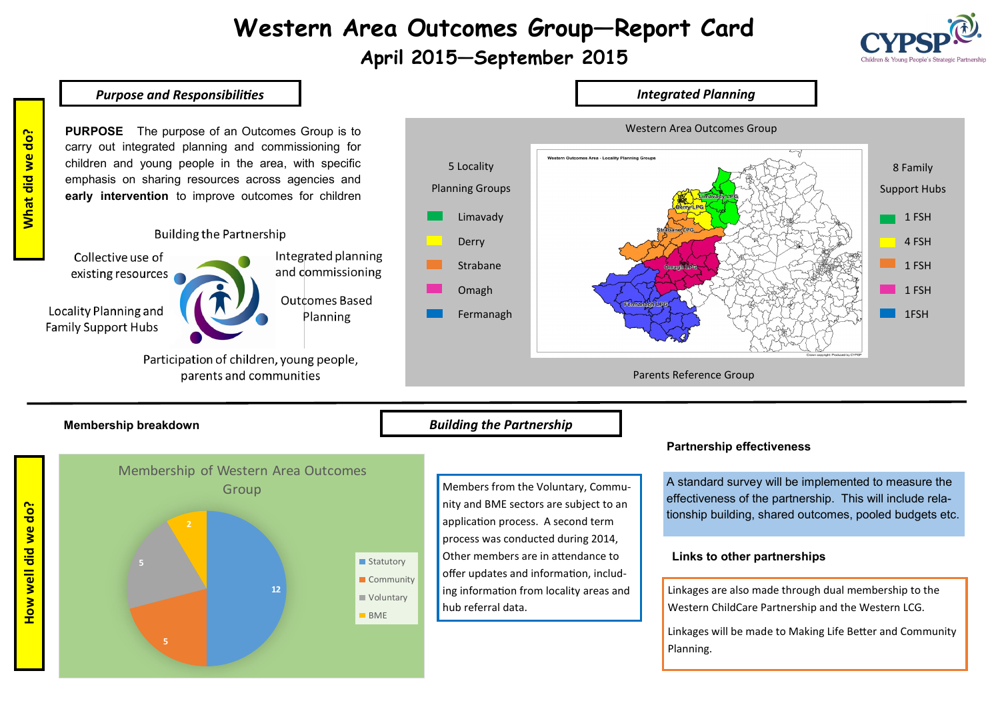# **Western Area Outcomes Group—Report Card**

# **April 2015—September 2015**